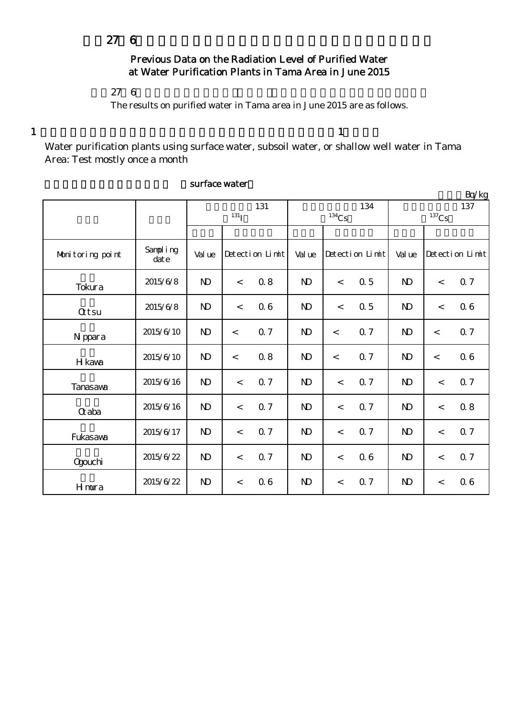## Previous Data on the Radiation Level of Purified Water at Water Purification Plants in Tama Area in June 2015

## $276$

The results on purified water in Tama area in June 2015 are as follows.

 $1$  and  $1$ 

Water purification plants using surface water, subsoil water, or shallow well water in Tama Area: Test mostly once a month

|                  |                  |              |            |                 |                     |         |                 |                |         | Bq/kg           |
|------------------|------------------|--------------|------------|-----------------|---------------------|---------|-----------------|----------------|---------|-----------------|
|                  |                  | 131          |            |                 |                     |         | 134             | 137            |         |                 |
|                  |                  |              | $^{131}$ I |                 | $^{134}\mathrm{Cs}$ |         |                 | $137$ Cs       |         |                 |
|                  |                  |              |            |                 |                     |         |                 |                |         |                 |
| Monitoring point | Sampling<br>date | Val ue       |            | Detection Limit | Val ue              |         | Detection Limit | Val ue         |         | Detection Limit |
| Tokura           | 2015/6/8         | $\mathbf{D}$ | $\lt$      | 0.8             | $\mathbf{D}$        | $\lt$   | 0.5             | $\mathbf{D}$   | $\lt$   | 0.7             |
| <b>Qtsu</b>      | 2015/6/8         | $\mathbf{D}$ | $\lt$      | 06              | $\mathbf{D}$        | $\,<$   | 0.5             | N <sub>D</sub> | $\lt$   | 06              |
| N ppara          | 2015/6/10        | $\mathbf{D}$ | $\,<\,$    | 0.7             | $\mathbf{D}$        | $\,<$   | 0.7             | $\mathbf{D}$   | $\,<\,$ | 0.7             |
| H kawa           | 2015/6/10        | $\mathbf{D}$ | $\,<\,$    | 0.8             | $\mathbf{D}$        | $\lt$   | <b>Q</b> 7      | N <sub>D</sub> | $\prec$ | 06              |
| <b>Tanasaya</b>  | 2015/6/16        | $\mathbf{D}$ | $\lt$      | 0.7             | $\mathbf{D}$        | $\lt$   | 0.7             | $\mathbf{D}$   | $\lt$   | 0.7             |
| $\alpha$ aba     | 2015/6/16        | $\mathbf{D}$ | $\lt$      | 0.7             | $\mathbf{D}$        | $\,<\,$ | 0.7             | N <sub>D</sub> | $\lt$   | 0.8             |
| Fukasawa         | 2015/6/17        | $\mathbf{D}$ | $\lt$      | 0.7             | $\mathbf{D}$        | $\lt$   | 0.7             | $\mathbf{D}$   | $\lt$   | 0.7             |
| <b>Ogouchi</b>   | 2015/6/22        | $\mathbf{D}$ | $\lt$      | 0.7             | $\mathbf{D}$        | $\,<$   | 06              | $\mathbf{D}$   | $\,<$   | 0.7             |
| Hmura            | 2015/6/22        | $\mathbf{D}$ | $\,<\,$    | 06              | $\mathbf{D}$        | $\,<$   | 0.7             | N <sub>D</sub> | $\,<$   | 06              |

## surface water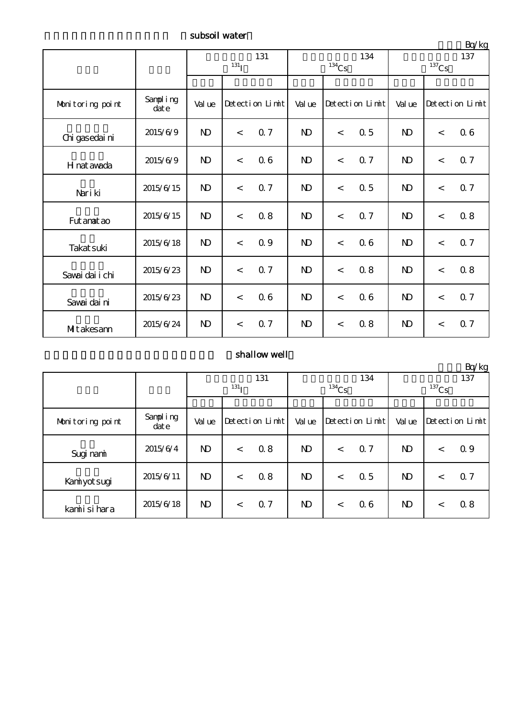subsoil water

|                  |                  | 131<br>$^{131}$ I |                 |     |              | $^{134}\mathrm{Cs}$ | 134 | $-9.17$<br>137<br>$^{137}\mathrm{Cs}$ |                 |     |
|------------------|------------------|-------------------|-----------------|-----|--------------|---------------------|-----|---------------------------------------|-----------------|-----|
|                  |                  |                   |                 |     |              |                     |     |                                       |                 |     |
| Monitoring point | Sampling<br>date | Val ue            | Detection Limit |     | Val ue       | Detection Limit     |     | Val ue                                | Detection Limit |     |
| Chi gasedai ni   | 2015/6/9         | $\mathbf{D}$      | 0.7<br>$\prec$  |     | $\mathbf{D}$ | $\,<$               | 0.5 | $\mathbf{D}$                          | $\,<\,$         | 06  |
| H nat awada      | 2015/6/9         | $\mathbf{D}$      | $\lt$           | 06  | $\mathbf{D}$ | $\,<\,$             | 0.7 | $\mathbf{D}$                          | $\lt$           | Q 7 |
| Nari ki          | 2015/6/15        | $\mathbf{N}$      | $\lt$           | 0.7 | $\mathbf{D}$ | $\lt$               | 0.5 | $\mathbf{D}$                          | $\,<\,$         | 0.7 |
| Fut anat ao      | 2015/6/15        | $\mathbf{D}$      | $\overline{a}$  | 0.8 | $\mathbf{D}$ | $\,<\,$             | 0.7 | $\mathbf{D}$                          | $\,<\,$         | 0.8 |
| Takat suki       | 2015/6/18        | $\mathbf{D}$      | $\lt$           | 0.9 | $\mathbf{D}$ | $\,<$               | 06  | $\mathbf{D}$                          | $\lt$           | 0.7 |
| Savai dai i chi  | 2015/6/23        | $\mathbf{D}$      | $\prec$         | Q 7 | $\mathbf{D}$ | $\,<$               | 0.8 | $\mathbf{D}$                          | $\,<\,$         | 0.8 |
| Savai dai ni     | 2015/6/23        | $\mathbf{N}$      | $\lt$           | 06  | $\mathbf{D}$ | $\lt$               | 06  | $\mathbf{D}$                          | $\,<\,$         | 0.7 |
| Mitakesann       | 2015/6/24        | $\mathbf{D}$      | $\lt$           | 0.7 | $\mathbf{D}$ | $\,<$               | 0.8 | $\mathbf{D}$                          | $\,<\,$         | 0.7 |

## shallow well

|                  |                  |                  |       |                 |              | <u>Bq/kg</u> |                 |              |         |                 |  |
|------------------|------------------|------------------|-------|-----------------|--------------|--------------|-----------------|--------------|---------|-----------------|--|
|                  |                  | 131              |       |                 | 134          |              |                 | 137          |         |                 |  |
|                  |                  | 131 <sub>T</sub> |       |                 |              | $134$ Cs     |                 | $137$ Cs     |         |                 |  |
|                  |                  |                  |       |                 |              |              |                 |              |         |                 |  |
| Monitoring point | Sampling<br>date | Val ue           |       | Detection Limit | Val ue       |              | Detection Limit | Val ue       |         | Detection Limit |  |
| Sugi nami        | 2015/6/4         | N)               | $\lt$ | 0.8             | $\mathbf{D}$ | $\,<$        | Q <sub>7</sub>  | $\mathbf{D}$ | $\,<\,$ | 0.9             |  |
| Kaniyot sugi     | 2015/6/11        | ND.              | $\lt$ | 0.8             | $\mathbf{D}$ | $\lt$        | 0.5             | $\mathbf{D}$ | $\lt$   | Q <sub>7</sub>  |  |
| kamiisi hara     | 2015/6/18        | N)               | $\lt$ | 0.7             | $\mathbf{D}$ | $\lt$        | 06              | $\mathbf{D}$ | $\lt$   | 0.8             |  |

 $D_{\infty}/k$ 

単位:Bq/kg